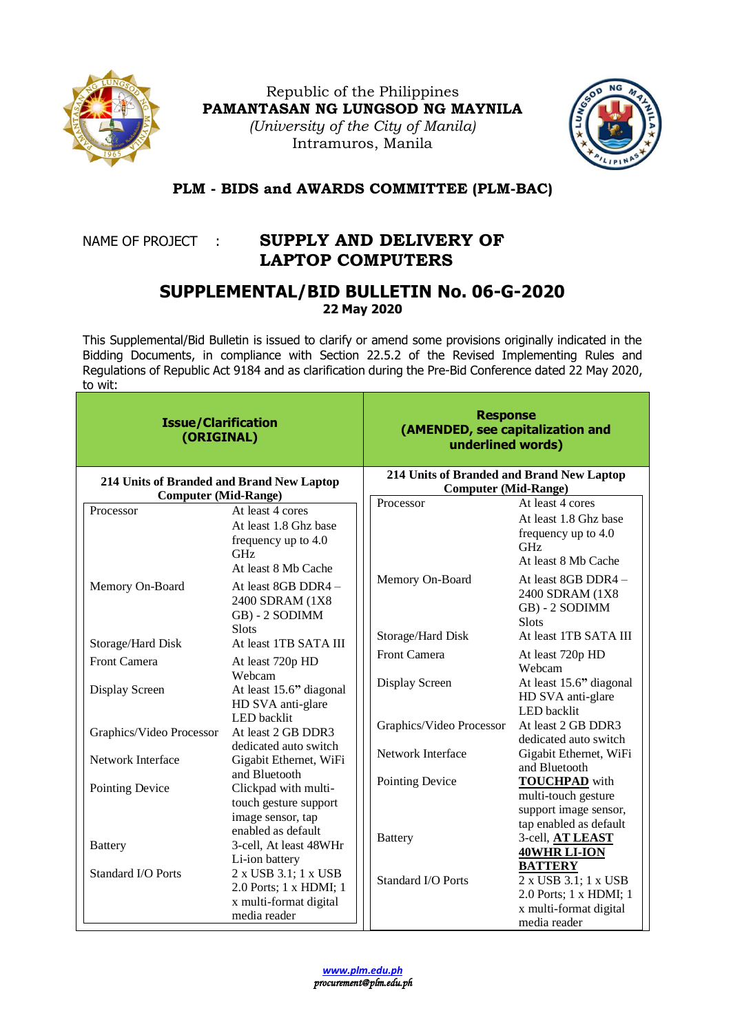

Republic of the Philippines **PAMANTASAN NG LUNGSOD NG MAYNILA** *(University of the City of Manila)* Intramuros, Manila



## **PLM - BIDS and AWARDS COMMITTEE (PLM-BAC)**

## NAME OF PROJECT : **SUPPLY AND DELIVERY OF LAPTOP COMPUTERS**

## **SUPPLEMENTAL/BID BULLETIN No. 06-G-2020 22 May 2020**

This Supplemental/Bid Bulletin is issued to clarify or amend some provisions originally indicated in the Bidding Documents, in compliance with Section 22.5.2 of the Revised Implementing Rules and Regulations of Republic Act 9184 and as clarification during the Pre-Bid Conference dated 22 May 2020, to wit:

| <b>Issue/Clarification</b><br>(ORIGINAL)                                 |                                                                                                                                                 | <b>Response</b><br>(AMENDED, see capitalization and<br>underlined words) |                                                                                                                                                  |
|--------------------------------------------------------------------------|-------------------------------------------------------------------------------------------------------------------------------------------------|--------------------------------------------------------------------------|--------------------------------------------------------------------------------------------------------------------------------------------------|
| 214 Units of Branded and Brand New Laptop<br><b>Computer (Mid-Range)</b> |                                                                                                                                                 | 214 Units of Branded and Brand New Laptop<br><b>Computer (Mid-Range)</b> |                                                                                                                                                  |
| Processor<br>Memory On-Board                                             | At least 4 cores<br>At least 1.8 Ghz base<br>frequency up to 4.0<br><b>GHz</b><br>At least 8 Mb Cache<br>At least 8GB DDR4 -<br>2400 SDRAM (1X8 | Processor<br>Memory On-Board                                             | At least 4 cores<br>At least 1.8 Ghz base<br>frequency up to 4.0<br><b>GHz</b><br>At least 8 Mb Cache<br>At least 8GB DDR4 -<br>2400 SDRAM (1X8) |
| Storage/Hard Disk                                                        | GB) - 2 SODIMM<br>Slots<br>At least 1TB SATA III                                                                                                | Storage/Hard Disk<br>Front Camera                                        | GB) - 2 SODIMM<br><b>Slots</b><br>At least 1TB SATA III<br>At least 720p HD                                                                      |
| <b>Front Camera</b><br>Display Screen                                    | At least 720p HD<br>Webcam<br>At least 15.6" diagonal<br>HD SVA anti-glare<br><b>LED</b> backlit                                                | Display Screen                                                           | Webcam<br>At least 15.6" diagonal<br>HD SVA anti-glare<br>LED backlit                                                                            |
| Graphics/Video Processor                                                 | At least 2 GB DDR3<br>dedicated auto switch                                                                                                     | Graphics/Video Processor                                                 | At least 2 GB DDR3<br>dedicated auto switch                                                                                                      |
| Network Interface                                                        | Gigabit Ethernet, WiFi<br>and Bluetooth                                                                                                         | Network Interface                                                        | Gigabit Ethernet, WiFi<br>and Bluetooth                                                                                                          |
| Pointing Device                                                          | Clickpad with multi-<br>touch gesture support<br>image sensor, tap<br>enabled as default                                                        | Pointing Device                                                          | <b>TOUCHPAD</b> with<br>multi-touch gesture<br>support image sensor,<br>tap enabled as default                                                   |
| <b>Battery</b>                                                           | 3-cell, At least 48WHr<br>Li-ion battery                                                                                                        | <b>Battery</b>                                                           | 3-cell, AT LEAST<br>40WHR LI-ION<br><b>BATTERY</b>                                                                                               |
| <b>Standard I/O Ports</b>                                                | 2 x USB 3.1; 1 x USB<br>2.0 Ports; 1 x HDMI; 1<br>x multi-format digital<br>media reader                                                        | Standard I/O Ports                                                       | 2 x USB 3.1; 1 x USB<br>2.0 Ports; 1 x HDMI; 1<br>x multi-format digital<br>media reader                                                         |